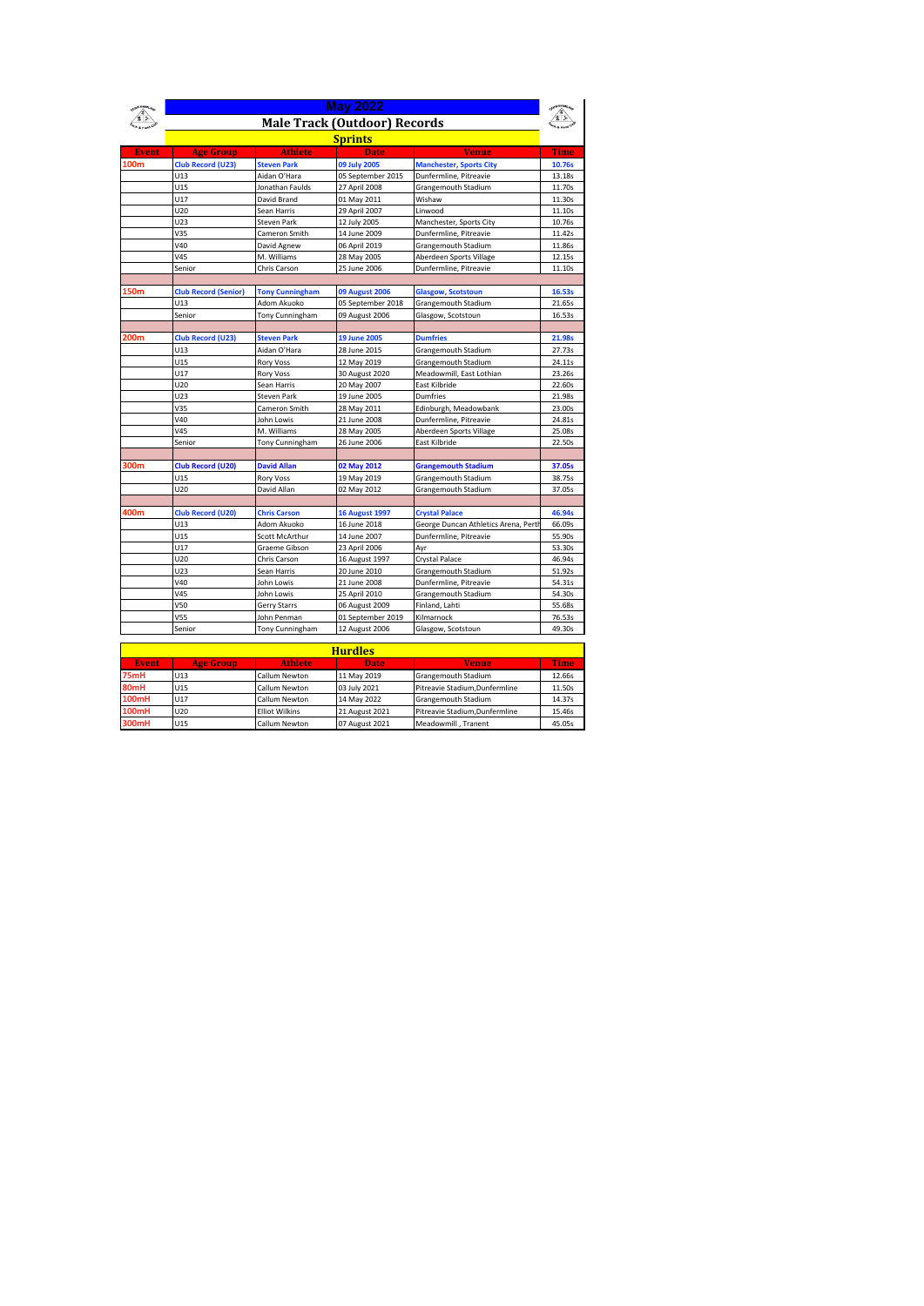|              | <b>May 2022</b>             |                        |                                     |                                      |             |  |
|--------------|-----------------------------|------------------------|-------------------------------------|--------------------------------------|-------------|--|
|              |                             |                        | <b>Male Track (Outdoor) Records</b> |                                      |             |  |
|              | <b>Sprints</b>              |                        |                                     |                                      |             |  |
| <b>Event</b> | <b>Age Group</b>            | <b>Athlete</b>         | <b>Date</b>                         | <b>Venue</b>                         | <b>Time</b> |  |
| 100m         | Club Record (U23)           | <b>Steven Park</b>     | 09 July 2005                        | <b>Manchester, Sports City</b>       | 10.76s      |  |
|              | U13                         | Aidan O'Hara           | 05 September 2015                   | Dunfermline, Pitreavie               | 13.18s      |  |
|              | U15                         | Jonathan Faulds        | 27 April 2008                       | Grangemouth Stadium                  | 11.70s      |  |
|              | U17                         | David Brand            | 01 May 2011                         | Wishaw                               | 11.30s      |  |
|              | U20                         | Sean Harris            | 29 April 2007                       | Linwood                              | 11.10s      |  |
|              | U23                         | <b>Steven Park</b>     | 12 July 2005                        | Manchester, Sports City              | 10.76s      |  |
|              | V35                         | Cameron Smith          | 14 June 2009                        | Dunfermline, Pitreavie               | 11.42s      |  |
|              | V40                         | David Agnew            | 06 April 2019                       | Grangemouth Stadium                  | 11.86s      |  |
|              | V45                         | M. Williams            | 28 May 2005                         | Aberdeen Sports Village              | 12.15s      |  |
|              | Senior                      | Chris Carson           | 25 June 2006                        | Dunfermline, Pitreavie               | 11.10s      |  |
|              |                             |                        |                                     |                                      |             |  |
| 150m         | <b>Club Record (Senior)</b> | <b>Tony Cunningham</b> | <b>09 August 2006</b>               | <b>Glasgow, Scotstoun</b>            | 16.53s      |  |
|              | U13                         | Adom Akuoko            | 05 September 2018                   | Grangemouth Stadium                  | 21.65s      |  |
|              | Senior                      | Tony Cunningham        | 09 August 2006                      | Glasgow, Scotstoun                   | 16.53s      |  |
|              |                             |                        |                                     |                                      |             |  |
| 200m         | Club Record (U23)           | <b>Steven Park</b>     | <b>19 June 2005</b>                 | <b>Dumfries</b>                      | 21.98s      |  |
|              | U13                         | Aidan O'Hara           | 28 June 2015                        | Grangemouth Stadium                  | 27.73s      |  |
|              | U15                         | <b>Rory Voss</b>       | 12 May 2019                         | Grangemouth Stadium                  | 24.11s      |  |
|              | U17                         | <b>Rory Voss</b>       | 30 August 2020                      | Meadowmill, East Lothian             | 23.26s      |  |
|              | U20                         | Sean Harris            | 20 May 2007                         | East Kilbride                        | 22.60s      |  |
|              | U23                         | <b>Steven Park</b>     | 19 June 2005                        | Dumfries                             | 21.98s      |  |
|              | V35                         | Cameron Smith          | 28 May 2011                         | Edinburgh, Meadowbank                | 23.00s      |  |
|              | V40                         | John Lowis             | 21 June 2008                        | Dunfermline, Pitreavie               | 24.81s      |  |
|              | V45                         | M. Williams            | 28 May 2005                         | Aberdeen Sports Village              | 25.08s      |  |
|              | Senior                      | Tony Cunningham        | 26 June 2006                        | East Kilbride                        | 22.50s      |  |
|              |                             |                        |                                     |                                      |             |  |
| 300m         | <b>Club Record (U20)</b>    | <b>David Allan</b>     | 02 May 2012                         | <b>Grangemouth Stadium</b>           | 37.05s      |  |
|              | U15                         | <b>Rory Voss</b>       | 19 May 2019                         | Grangemouth Stadium                  | 38.75s      |  |
|              | U20                         | David Allan            | 02 May 2012                         | Grangemouth Stadium                  | 37.05s      |  |
|              |                             |                        |                                     |                                      |             |  |
| 400m         | <b>Club Record (U20)</b>    | <b>Chris Carson</b>    | <b>16 August 1997</b>               | <b>Crystal Palace</b>                | 46.94s      |  |
|              | U13                         | Adom Akuoko            | 16 June 2018                        | George Duncan Athletics Arena, Perth | 66.09s      |  |
|              | U15                         | Scott McArthur         | 14 June 2007                        | Dunfermline, Pitreavie               | 55.90s      |  |
|              | U17                         | Graeme Gibson          | 23 April 2006                       | Ayr                                  | 53.30s      |  |
|              | U20                         | Chris Carson           | 16 August 1997                      | Crystal Palace                       | 46.94s      |  |
|              | U23                         | Sean Harris            | 20 June 2010                        | Grangemouth Stadium                  | 51.92s      |  |
|              | V40                         | John Lowis             | 21 June 2008                        | Dunfermline, Pitreavie               | 54.31s      |  |
|              | V45                         | John Lowis             | 25 April 2010                       | Grangemouth Stadium                  | 54.30s      |  |
|              | V50                         | Gerry Starrs           | 06 August 2009                      | Finland, Lahti                       | 55.68s      |  |
|              | V55                         | John Penman            | 01 September 2019                   | Kilmarnock                           | 76.53s      |  |
|              | Senior                      | Tony Cunningham        | 12 August 2006                      | Glasgow, Scotstoun                   | 49.30s      |  |
|              |                             |                        | <b>Hurdles</b>                      |                                      |             |  |
| <b>Event</b> | <b>Age Group</b>            | Athlete                | <b>Date</b>                         | <b>Venue</b>                         | Time        |  |
| 75mH         | U13                         | Callum Newton          | 11 May 2019                         | Grangemouth Stadium                  | 12.66s      |  |
| 80mH         | U15                         | Callum Newton          | 03 July 2021                        | Pitreavie Stadium, Dunfermline       | 11.50s      |  |
| 100mH        | U17                         | Callum Newton          | 14 May 2022                         | Grangemouth Stadium                  | 14.37s      |  |
| 100mH        | U20                         | <b>Elliot Wilkins</b>  | 21 August 2021                      | Pitreavie Stadium, Dunfermline       | 15.46s      |  |
| 300mH        | U <sub>15</sub>             | Callum Newton          | 07 August 2021                      | Meadowmill, Tranent                  | 45.05s      |  |
|              |                             |                        |                                     |                                      |             |  |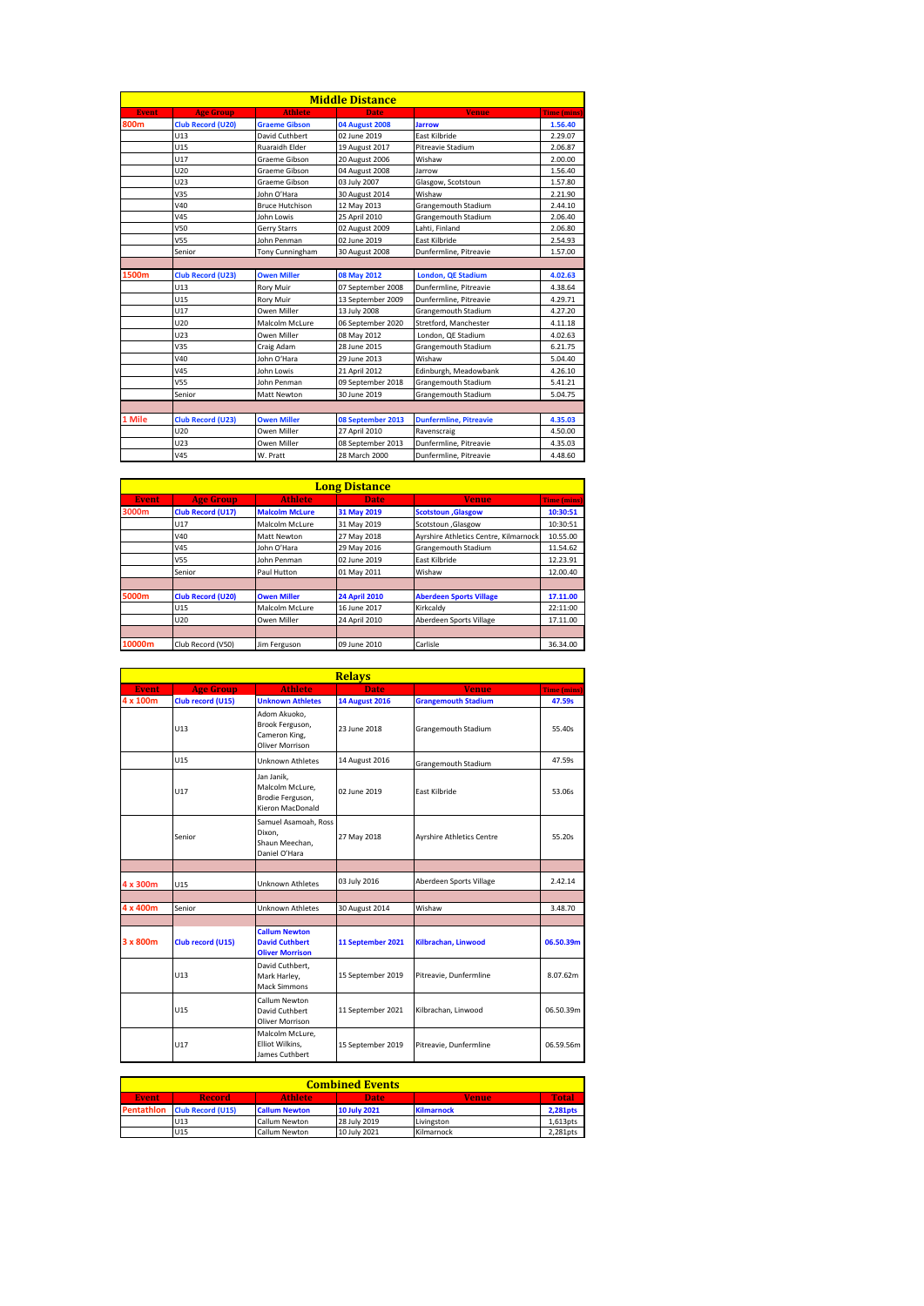| <b>Middle Distance</b> |                          |                        |                       |                               |             |  |
|------------------------|--------------------------|------------------------|-----------------------|-------------------------------|-------------|--|
| <b>Event</b>           | <b>Age Group</b>         | <b>Athlete</b>         | <b>Date</b>           | <b>Venue</b>                  | Time (mins) |  |
| 800m                   | <b>Club Record (U20)</b> | <b>Graeme Gibson</b>   | <b>04 August 2008</b> | <b>Jarrow</b>                 | 1.56.40     |  |
|                        | U13                      | David Cuthbert         | 02 June 2019          | East Kilbride                 | 2.29.07     |  |
|                        | U15                      | Ruaraidh Elder         | 19 August 2017        | Pitreavie Stadium             | 2.06.87     |  |
|                        | U17                      | Graeme Gibson          | 20 August 2006        | Wishaw                        | 2.00.00     |  |
|                        | U20                      | Graeme Gibson          | 04 August 2008        | Jarrow                        | 1.56.40     |  |
|                        | U23                      | Graeme Gibson          | 03 July 2007          | Glasgow, Scotstoun            | 1.57.80     |  |
|                        | V35                      | John O'Hara            | 30 August 2014        | Wishaw                        | 2.21.90     |  |
|                        | V40                      | <b>Bruce Hutchison</b> | 12 May 2013           | Grangemouth Stadium           | 2.44.10     |  |
|                        | V45                      | John Lowis             | 25 April 2010         | Grangemouth Stadium           | 2.06.40     |  |
|                        | V50                      | Gerry Starrs           | 02 August 2009        | Lahti, Finland                | 2.06.80     |  |
|                        | V55                      | John Penman            | 02 June 2019          | East Kilbride                 | 2.54.93     |  |
|                        | Senior                   | Tony Cunningham        | 30 August 2008        | Dunfermline, Pitreavie        | 1.57.00     |  |
|                        |                          |                        |                       |                               |             |  |
| 1500m                  | <b>Club Record (U23)</b> | <b>Owen Miller</b>     | 08 May 2012           | <b>London, QE Stadium</b>     | 4.02.63     |  |
|                        | U13                      | <b>Rory Muir</b>       | 07 September 2008     | Dunfermline, Pitreavie        | 4.38.64     |  |
|                        | U15                      | <b>Rory Muir</b>       | 13 September 2009     | Dunfermline, Pitreavie        | 4.29.71     |  |
|                        | U17                      | Owen Miller            | 13 July 2008          | Grangemouth Stadium           | 4.27.20     |  |
|                        | U <sub>20</sub>          | Malcolm McLure         | 06 September 2020     | Stretford, Manchester         | 4.11.18     |  |
|                        | U23                      | Owen Miller            | 08 May 2012           | London, QE Stadium            | 4.02.63     |  |
|                        | V35                      | Craig Adam             | 28 June 2015          | Grangemouth Stadium           | 6.21.75     |  |
|                        | V40                      | John O'Hara            | 29 June 2013          | Wishaw                        | 5.04.40     |  |
|                        | V45                      | John Lowis             | 21 April 2012         | Edinburgh, Meadowbank         | 4.26.10     |  |
|                        | V55                      | John Penman            | 09 September 2018     | Grangemouth Stadium           | 5.41.21     |  |
|                        | Senior                   | <b>Matt Newton</b>     | 30 June 2019          | Grangemouth Stadium           | 5.04.75     |  |
|                        |                          |                        |                       |                               |             |  |
| 1 Mile                 | <b>Club Record (U23)</b> | <b>Owen Miller</b>     | 08 September 2013     | <b>Dunfermline, Pitreavie</b> | 4.35.03     |  |
|                        | U20                      | Owen Miller            | 27 April 2010         | Ravenscraig                   | 4.50.00     |  |
|                        | U23                      | Owen Miller            | 08 September 2013     | Dunfermline, Pitreavie        | 4.35.03     |  |
|                        | V45                      | W. Pratt               | 28 March 2000         | Dunfermline, Pitreavie        | 4.48.60     |  |

|              | <b>Long Distance</b>     |                       |                      |                                       |                    |  |  |
|--------------|--------------------------|-----------------------|----------------------|---------------------------------------|--------------------|--|--|
| <b>Event</b> | <b>Age Group</b>         | <b>Athlete</b>        | Date:                | <b>Venue</b>                          | <b>Time</b> (mins) |  |  |
| 3000m        | Club Record (U17)        | <b>Malcolm McLure</b> | 31 May 2019          | <b>Scotstoun, Glasgow</b>             | 10:30:51           |  |  |
|              | U17                      | Malcolm McLure        | 31 May 2019          | Scotstoun , Glasgow                   | 10:30:51           |  |  |
|              | V40                      | Matt Newton           | 27 May 2018          | Avrshire Athletics Centre, Kilmarnock | 10.55.00           |  |  |
|              | V45                      | John O'Hara           | 29 May 2016          | Grangemouth Stadium                   | 11.54.62           |  |  |
|              | V55                      | John Penman           | 02 June 2019         | East Kilbride                         | 12.23.91           |  |  |
|              | Senior                   | Paul Hutton           | 01 May 2011          | Wishaw                                | 12.00.40           |  |  |
|              |                          |                       |                      |                                       |                    |  |  |
| 5000m        | <b>Club Record (U20)</b> | <b>Owen Miller</b>    | <b>24 April 2010</b> | <b>Aberdeen Sports Village</b>        | 17.11.00           |  |  |
|              | U15                      | Malcolm McLure        | 16 June 2017         | Kirkcaldv                             | 22:11:00           |  |  |
|              | U20                      | Owen Miller           | 24 April 2010        | Aberdeen Sports Village               | 17.11.00           |  |  |
|              |                          |                       |                      |                                       |                    |  |  |
| 10000m       | Club Record (V50)        | Jim Ferguson          | 09 June 2010         | Carlisle                              | 36.34.00           |  |  |

|              | <b>Relays</b>     |                                                                         |                       |                                  |                    |  |  |  |
|--------------|-------------------|-------------------------------------------------------------------------|-----------------------|----------------------------------|--------------------|--|--|--|
| <b>Event</b> | <b>Age Group</b>  | <b>Athlete</b>                                                          | <b>Date</b>           | <b>Venue</b>                     | <b>Time (mins)</b> |  |  |  |
| 4 x 100m     | Club record (U15) | <b>Unknown Athletes</b>                                                 | <b>14 August 2016</b> | <b>Grangemouth Stadium</b>       | 47.59s             |  |  |  |
|              | U13               | Adom Akuoko.<br>Brook Ferguson,<br>Cameron King,<br>Oliver Morrison     | 23 June 2018          | Grangemouth Stadium              | 55.40s             |  |  |  |
|              | U15               | <b>Unknown Athletes</b>                                                 | 14 August 2016        | Grangemouth Stadium              | 47.59s             |  |  |  |
|              | <b>U17</b>        | Jan Janik,<br>Malcolm McLure.<br>Brodie Ferguson,<br>Kieron MacDonald   | 02 June 2019          | Fast Kilbride                    | 53.06s             |  |  |  |
|              | Senior            | Samuel Asamoah, Ross<br>Dixon,<br>Shaun Meechan.<br>Daniel O'Hara       | 27 May 2018           | <b>Ayrshire Athletics Centre</b> | 55.20s             |  |  |  |
|              |                   |                                                                         |                       |                                  |                    |  |  |  |
| 4 x 300m     | U15               | <b>Unknown Athletes</b>                                                 | 03 July 2016          | Aberdeen Sports Village          | 2.42.14            |  |  |  |
|              |                   |                                                                         |                       |                                  |                    |  |  |  |
| 4 x 400m     | Senior            | Unknown Athletes                                                        | 30 August 2014        | Wishaw                           | 3.48.70            |  |  |  |
| 3 x 800m     | Club record (U15) | <b>Callum Newton</b><br><b>David Cuthbert</b><br><b>Oliver Morrison</b> | 11 September 2021     | Kilbrachan, Linwood              | 06.50.39m          |  |  |  |
|              | U13               | David Cuthbert.<br>Mark Harley,<br>Mack Simmons                         | 15 September 2019     | Pitreavie, Dunfermline           | 8.07.62m           |  |  |  |
|              | U15               | Callum Newton<br>David Cuthbert<br>Oliver Morrison                      | 11 September 2021     | Kilbrachan, Linwood              | 06.50.39m          |  |  |  |
|              | U17               | Malcolm McLure,<br>Elliot Wilkins.<br>James Cuthbert                    | 15 September 2019     | Pitreavie, Dunfermline           | 06.59.56m          |  |  |  |

| <b>Combined Events</b> |                          |                      |              |                   |              |  |
|------------------------|--------------------------|----------------------|--------------|-------------------|--------------|--|
| <b>Event</b>           | <b>Record</b>            | <b>Athlete</b>       | <b>Date</b>  | <b>Venue</b>      | <b>Total</b> |  |
| <b>Pentathlon</b>      | <b>Club Record (U15)</b> | <b>Callum Newton</b> | 10 July 2021 | <b>Kilmarnock</b> | 2,281pts     |  |
|                        | U13                      | Callum Newton        | 28 July 2019 | Livingston        | 1,613pts     |  |
|                        | U15                      | Callum Newton        | 10 July 2021 | Kilmarnock        | 2,281pts     |  |